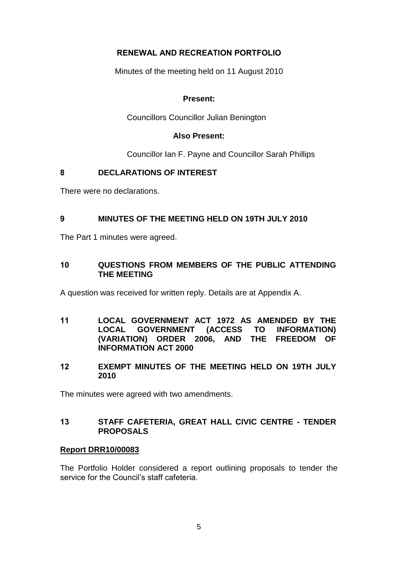# **RENEWAL AND RECREATION PORTFOLIO**

Minutes of the meeting held on 11 August 2010

# **Present:**

Councillors Councillor Julian Benington

## **Also Present:**

Councillor Ian F. Payne and Councillor Sarah Phillips

# **8 DECLARATIONS OF INTEREST**

There were no declarations.

## **9 MINUTES OF THE MEETING HELD ON 19TH JULY 2010**

The Part 1 minutes were agreed.

## **10 QUESTIONS FROM MEMBERS OF THE PUBLIC ATTENDING THE MEETING**

A question was received for written reply. Details are at Appendix A.

- **11 LOCAL GOVERNMENT ACT 1972 AS AMENDED BY THE LOCAL GOVERNMENT (ACCESS TO INFORMATION) (VARIATION) ORDER 2006, AND THE FREEDOM OF INFORMATION ACT 2000**
- **12 EXEMPT MINUTES OF THE MEETING HELD ON 19TH JULY 2010**

The minutes were agreed with two amendments.

# **13 STAFF CAFETERIA, GREAT HALL CIVIC CENTRE - TENDER PROPOSALS**

#### **Report DRR10/00083**

The Portfolio Holder considered a report outlining proposals to tender the service for the Council's staff cafeteria.